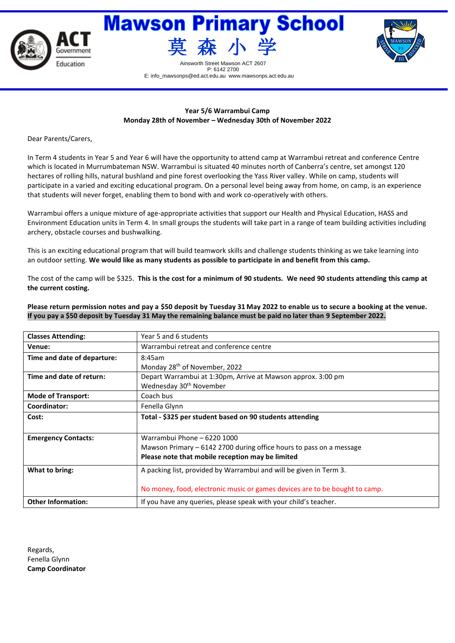





Street Mawson ACT 2607 P: 6142 2700 E: info\_mawsonps@ed.act.edu.au www.mawsonps.act.edu.au

# **Year 5/6 Warrambui Camp Monday 28th of November – Wednesday 30th of November 2022**

Dear Parents/Carers,

In Term 4 students in Year 5 and Year 6 will have the opportunity to attend camp at Warrambui retreat and conference Centre which is located in Murrumbateman NSW. Warrambui is situated 40 minutes north of Canberra's centre, set amongst 120 hectares of rolling hills, natural bushland and pine forest overlooking the Yass River valley. While on camp, students will participate in a varied and exciting educational program. On a personal level being away from home, on camp, is an experience that students will never forget, enabling them to bond with and work co-operatively with others.

Warrambui offers a unique mixture of age-appropriate activities that support our Health and Physical Education, HASS and Environment Education units in Term 4. In small groups the students will take part in a range of team building activities including archery, obstacle courses and bushwalking.

This is an exciting educational program that will build teamwork skills and challenge students thinking as we take learning into an outdoor setting. **We would like as many students as possible to participate in and benefit from this camp.** 

The cost of the camp will be \$325. **This is the cost for a minimum of 90 students. We need 90 students attending this camp at the current costing.** 

**Please return permission notes and pay a \$50 deposit by Tuesday 31 May 2022 to enable us to secure a booking at the venue. If you pay a \$50 deposit by Tuesday 31 May the remaining balance must be paid no later than 9 September 2022.**

| <b>Classes Attending:</b>   | Year 5 and 6 students                                                       |  |  |  |  |
|-----------------------------|-----------------------------------------------------------------------------|--|--|--|--|
| Venue:                      | Warrambui retreat and conference centre                                     |  |  |  |  |
| Time and date of departure: | 8:45am                                                                      |  |  |  |  |
|                             | Monday 28 <sup>th</sup> of November, 2022                                   |  |  |  |  |
| Time and date of return:    | Depart Warrambui at 1:30pm, Arrive at Mawson approx. 3:00 pm                |  |  |  |  |
|                             | Wednesday 30 <sup>th</sup> November                                         |  |  |  |  |
| <b>Mode of Transport:</b>   | Coach bus                                                                   |  |  |  |  |
| Coordinator:                | Fenella Glynn                                                               |  |  |  |  |
| Cost:                       | Total - \$325 per student based on 90 students attending                    |  |  |  |  |
|                             |                                                                             |  |  |  |  |
| <b>Emergency Contacts:</b>  | Warrambui Phone - 6220 1000                                                 |  |  |  |  |
|                             | Mawson Primary - 6142 2700 during office hours to pass on a message         |  |  |  |  |
|                             | Please note that mobile reception may be limited                            |  |  |  |  |
| What to bring:              | A packing list, provided by Warrambui and will be given in Term 3.          |  |  |  |  |
|                             |                                                                             |  |  |  |  |
|                             | No money, food, electronic music or games devices are to be bought to camp. |  |  |  |  |
| <b>Other Information:</b>   | If you have any queries, please speak with your child's teacher.            |  |  |  |  |

Regards, Fenella Glynn **Camp Coordinator**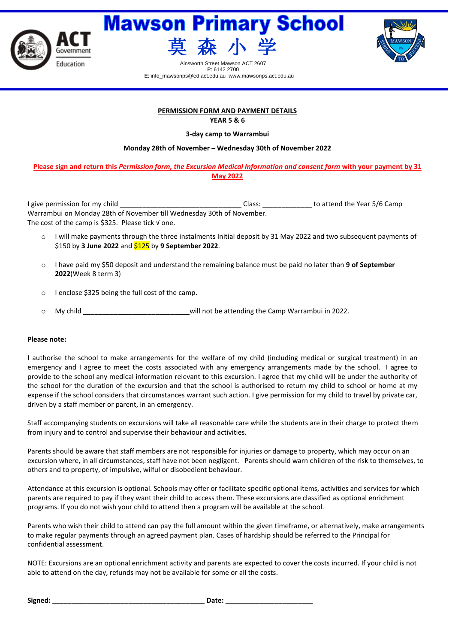





Street Mawson ACT 2607 P: 6142 2700 E: info\_mawsonps@ed.act.edu.au www.mawsonps.act.edu.au

### **PERMISSION FORM AND PAYMENT DETAILS YEAR 5 & 6**

### **3-day camp to Warrambui**

**Monday 28th of November – Wednesday 30th of November 2022**

## **Please sign and return this** *Permission form, the Excursion Medical Information and consent form* **with your payment by 31 May 2022**

I give permission for my child \_\_\_\_\_\_\_\_\_\_\_\_\_\_\_\_\_\_\_\_\_\_\_\_\_\_\_\_\_\_\_\_ Class: \_\_\_\_\_\_\_\_\_\_\_\_\_ to attend the Year 5/6 Camp Warrambui on Monday 28th of November till Wednesday 30th of November. The cost of the camp is \$325. Please tick √ one.

- o I will make payments through the three instalments Initial deposit by 31 May 2022 and two subsequent payments of \$150 by **3 June 2022** and \$125 by **9 September 2022**.
- o I have paid my \$50 deposit and understand the remaining balance must be paid no later than **9 of September 2022**(Week 8 term 3)
- o I enclose \$325 being the full cost of the camp.
- o My child \_\_\_\_\_\_\_\_\_\_\_\_\_\_\_\_\_\_\_\_\_\_\_\_\_\_\_\_will not be attending the Camp Warrambui in 2022.

### **Please note:**

I authorise the school to make arrangements for the welfare of my child (including medical or surgical treatment) in an emergency and I agree to meet the costs associated with any emergency arrangements made by the school. I agree to provide to the school any medical information relevant to this excursion. I agree that my child will be under the authority of the school for the duration of the excursion and that the school is authorised to return my child to school or home at my expense if the school considers that circumstances warrant such action. I give permission for my child to travel by private car, driven by a staff member or parent, in an emergency.

Staff accompanying students on excursions will take all reasonable care while the students are in their charge to protect them from injury and to control and supervise their behaviour and activities.

Parents should be aware that staff members are not responsible for injuries or damage to property, which may occur on an excursion where, in all circumstances, staff have not been negligent. Parents should warn children of the risk to themselves, to others and to property, of impulsive, wilful or disobedient behaviour.

Attendance at this excursion is optional. Schools may offer or facilitate specific optional items, activities and services for which parents are required to pay if they want their child to access them. These excursions are classified as optional enrichment programs. If you do not wish your child to attend then a program will be available at the school.

Parents who wish their child to attend can pay the full amount within the given timeframe, or alternatively, make arrangements to make regular payments through an agreed payment plan. Cases of hardship should be referred to the Principal for confidential assessment.

NOTE: Excursions are an optional enrichment activity and parents are expected to cover the costs incurred. If your child is not able to attend on the day, refunds may not be available for some or all the costs.